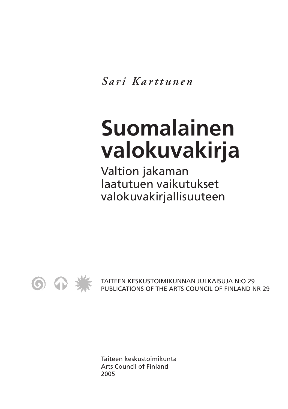*S ari Karttunen*

# **Suomalainen valokuvakirja**

Valtion jakaman laatutuen vaikutukset valokuvakirjallisuuteen



TAITEEN KESKUSTOIMIKUNNAN JULKAISUJA N:O 29 PUBLICATIONS OF THE ARTS COUNCIL OF FINLAND NR 29

Taiteen keskustoimikunta Arts Council of Finland 2005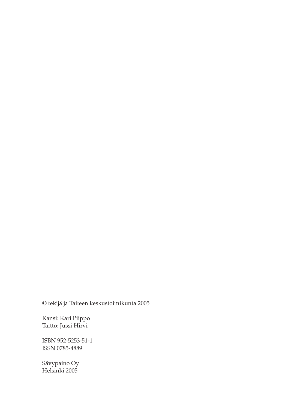© tekijä ja Taiteen keskustoimikunta 2005

Kansi: Kari Piippo Taitto: Jussi Hirvi

ISBN 952-5253-51-1 ISSN 0785-4889

Sävypaino Oy Helsinki 2005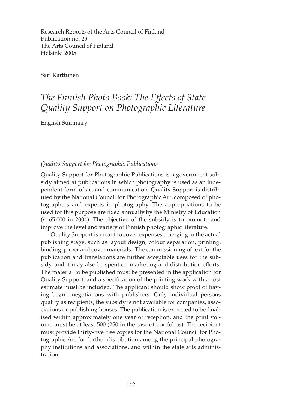Research Reports of the Arts Council of Finland Publication no. 29 The Arts Council of Finland Helsinki 2005

Sari Karttunen

# *The Finnish Photo Book: The Effects of State Quality Support on Photographic Literature*

English Summary

## *Quality Support for Photographic Publications*

Quality Support for Photographic Publications is a government subsidy aimed at publications in which photography is used as an independent form of art and communication. Quality Support is distributed by the National Council for Photographic Art, composed of photographers and experts in photography. The appropriations to be used for this purpose are fixed annually by the Ministry of Education (€ 65 000 in 2004). The objective of the subsidy is to promote and improve the level and variety of Finnish photographic literature.

Quality Support is meant to cover expenses emerging in the actual publishing stage, such as layout design, colour separation, printing, binding, paper and cover materials. The commissioning of text for the publication and translations are further acceptable uses for the subsidy, and it may also be spent on marketing and distribution efforts. The material to be published must be presented in the application for Quality Support, and a specification of the printing work with a cost estimate must be included. The applicant should show proof of having begun negotiations with publishers. Only individual persons qualify as recipients; the subsidy is not available for companies, associations or publishing houses. The publication is expected to be finalised within approximately one year of reception, and the print volume must be at least 500 (250 in the case of portfolios). The recipient must provide thirty-five free copies for the National Council for Photographic Art for further distribution among the principal photography institutions and associations, and within the state arts administration.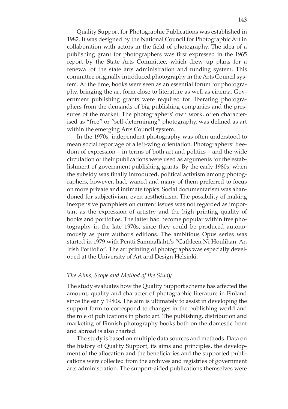Quality Support for Photographic Publications was established in 1982. It was designed by the National Council for Photographic Art in collaboration with actors in the field of photography. The idea of a publishing grant for photographers was first expressed in the 1965 report by the State Arts Committee, which drew up plans for a renewal of the state arts administration and funding system. This committee originally introduced photography in the Arts Council system. At the time, books were seen as an essential forum for photography, bringing the art form close to literature as well as cinema. Government publishing grants were required for liberating photographers from the demands of big publishing companies and the pressures of the market. The photographers' own work, often characterised as "free" or "self-determining" photography, was defined as art within the emerging Arts Council system.

In the 1970s, independent photography was often understood to mean social reportage of a left-wing orientation. Photographers' freedom of expression – in terms of both art and politics – and the wide circulation of their publications were used as arguments for the establishment of government publishing grants. By the early 1980s, when the subsidy was finally introduced, political activism among photographers, however, had, waned and many of them preferred to focus on more private and intimate topics. Social documentarism was abandoned for subjectivism, even aestheticism. The possibility of making inexpensive pamphlets on current issues was not regarded as important as the expression of artistry and the high printing quality of books and portfolios. The latter had become popular within free photography in the late 1970s, since they could be produced autonomously as pure author's editions. The ambitious Opus series was started in 1979 with Pentti Sammallahti's "Cathleen Ni Houlihan: An Irish Portfolio". The art printing of photographs was especially developed at the University of Art and Design Helsinki.

#### *The Aims, Scope and Method of the Study*

The study evaluates how the Quality Support scheme has affected the amount, quality and character of photographic literature in Finland since the early 1980s. The aim is ultimately to assist in developing the support form to correspond to changes in the publishing world and the role of publications in photo art. The publishing, distribution and marketing of Finnish photography books both on the domestic front and abroad is also charted.

The study is based on multiple data sources and methods. Data on the history of Quality Support, its aims and principles, the development of the allocation and the beneficiaries and the supported publications were collected from the archives and registries of government arts administration. The support-aided publications themselves were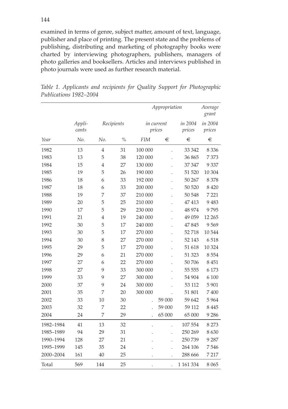examined in terms of genre, subject matter, amount of text, language, publisher and place of printing. The present state and the problems of publishing, distributing and marketing of photography books were charted by interviewing photographers, publishers, managers of photo galleries and booksellers. Articles and interviews published in photo journals were used as further research material.

|           |                 |                |      | Appropriation        | Average<br>grant |                   |                   |
|-----------|-----------------|----------------|------|----------------------|------------------|-------------------|-------------------|
|           | Appli-<br>cants | Recipients     |      | in current<br>prices |                  | in 2004<br>prices | in 2004<br>prices |
| Year      | No.             | No.            | $\%$ | <b>FIM</b>           | €                | €                 | €                 |
| 1982      | 13              | $\overline{4}$ | 31   | 100 000              | $\overline{a}$   | 33 342            | 8 3 3 6           |
| 1983      | 13              | 5              | 38   | 120 000              |                  | 36 865            | 7373              |
| 1984      | 15              | 4              | 27   | 130 000              |                  | 37 347            | 9 3 3 7           |
| 1985      | 19              | 5              | 26   | 190 000              |                  | 51 520            | 10 304            |
| 1986      | 18              | 6              | 33   | 192 000              | $\overline{a}$   | 50 267            | 8 3 7 8           |
| 1987      | 18              | 6              | 33   | 200 000              |                  | 50 520            | 8 4 2 0           |
| 1988      | 19              | 7              | 37   | 210 000              |                  | 50 548            | 7 2 2 1           |
| 1989      | 20              | 5              | 25   | 210 000              |                  | 47413             | 9483              |
| 1990      | 17              | 5              | 29   | 230 000              |                  | 48 974            | 9795              |
| 1991      | 21              | $\overline{4}$ | 19   | 240 000              |                  | 49 059            | 12 265            |
| 1992      | 30              | 5              | 17   | 240 000              |                  | 47845             | 9569              |
| 1993      | 30              | 5              | 17   | 270 000              |                  | 52 718            | 10 544            |
| 1994      | 30              | 8              | 27   | 270 000              |                  | 52 143            | 6518              |
| 1995      | 29              | 5              | 17   | 270 000              |                  | 51 618            | 10 324            |
| 1996      | 29              | 6              | 21   | 270 000              |                  | 51 323            | 8 5 5 4           |
| 1997      | 27              | 6              | 22   | 270 000              |                  | 50 706            | 8 4 5 1           |
| 1998      | 27              | 9              | 33   | 300 000              |                  | 55 555            | 6 1 7 3           |
| 1999      | 33              | 9              | 27   | 300 000              |                  | 54 904            | 6 100             |
| 2000      | 37              | 9              | 24   | 300 000              |                  | 53 112            | 5901              |
| 2001      | 35              | 7              | 20   | 300 000              |                  | 51 801            | 7400              |
| 2002      | 33              | 10             | 30   |                      | 59 000           | 59 642            | 5964              |
| 2003      | 32              | 7              | 22   |                      | 59 000           | 59 112            | 8 4 4 5           |
| 2004      | 24              | 7              | 29   |                      | 65 000           | 65 000            | 9 2 8 6           |
| 1982-1984 | 41              | 13             | 32   |                      |                  | 107 554           | 8 2 7 3           |
| 1985-1989 | 94              | 29             | 31   |                      |                  | 250 269           | 8630              |
| 1990-1994 | 128             | 27             | 21   |                      |                  | 250 739           | 9 2 8 7           |
| 1995-1999 | 145             | 35             | 24   |                      |                  | 264 106           | 7546              |
| 2000-2004 | 161             | 40             | 25   |                      |                  | 288 666           | 7 2 1 7           |
| Total     | 569             | 144            | 25   |                      |                  | 1 161 334         | 8065              |

*Table 1. Applicants and recipients for Quality Support for Photographic Publications 1982–2004*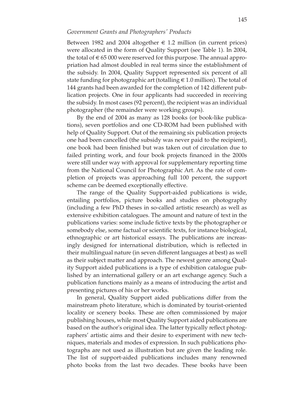#### *Government Grants and Photographers' Products*

Between 1982 and 2004 altogether  $\epsilon$  1.2 million (in current prices) were allocated in the form of Quality Support (see Table 1). In 2004, the total of  $\epsilon$  65 000 were reserved for this purpose. The annual appropriation had almost doubled in real terms since the establishment of the subsidy. In 2004, Quality Support represented six percent of all state funding for photographic art (totalling  $\in$  1.0 million). The total of 144 grants had been awarded for the completion of 142 different publication projects. One in four applicants had succeeded in receiving the subsidy. In most cases (92 percent), the recipient was an individual photographer (the remainder were working groups).

By the end of 2004 as many as 128 books (or book-like publications), seven portfolios and one CD-ROM had been published with help of Quality Support. Out of the remaining six publication projects one had been cancelled (the subsidy was never paid to the recipient), one book had been finished but was taken out of circulation due to failed printing work, and four book projects financed in the 2000s were still under way with approval for supplementary reporting time from the National Council for Photographic Art. As the rate of completion of projects was approaching full 100 percent, the support scheme can be deemed exceptionally effective.

The range of the Quality Support-aided publications is wide, entailing portfolios, picture books and studies on photography (including a few PhD theses in so-called artistic research) as well as extensive exhibition catalogues. The amount and nature of text in the publications varies: some include fictive texts by the photographer or somebody else, some factual or scientific texts, for instance biological, ethnographic or art historical essays. The publications are increasingly designed for international distribution, which is reflected in their multilingual nature (in seven different languages at best) as well as their subject matter and approach. The newest genre among Quality Support aided publications is a type of exhibition catalogue published by an international gallery or an art exchange agency. Such a publication functions mainly as a means of introducing the artist and presenting pictures of his or her works.

In general, Quality Support aided publications differ from the mainstream photo literature, which is dominated by tourist-oriented locality or scenery books. These are often commissioned by major publishing houses, while most Quality Support aided publications are based on the author's original idea. The latter typically reflect photographers' artistic aims and their desire to experiment with new techniques, materials and modes of expression. In such publications photographs are not used as illustration but are given the leading role. The list of support-aided publications includes many renowned photo books from the last two decades. These books have been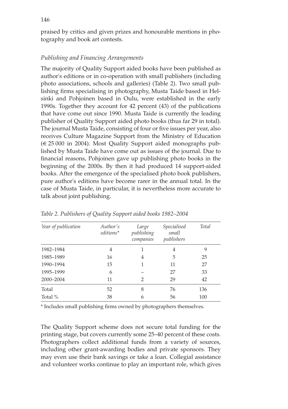praised by critics and given prizes and honourable mentions in photography and book art contests.

### *Publishing and Financing Arrangements*

The majority of Quality Support aided books have been published as author's editions or in co-operation with small publishers (including photo associations, schools and galleries) (Table 2). Two small publishing firms specialising in photography, Musta Taide based in Helsinki and Pohjoinen based in Oulu, were established in the early 1990s. Together they account for 42 percent (43) of the publications that have come out since 1990. Musta Taide is currently the leading publisher of Quality Support aided photo books (thus far 29 in total). The journal Musta Taide, consisting of four or five issues per year, also receives Culture Magazine Support from the Ministry of Education  $(\in 25000$  in 2004). Most Quality Support aided monographs published by Musta Taide have come out as issues of the journal. Due to financial reasons, Pohjoinen gave up publishing photo books in the beginning of the 2000s. By then it had produced 14 support-aided books. After the emergence of the specialised photo book publishers, pure author's editions have become rarer in the annual total. In the case of Musta Taide, in particular, it is nevertheless more accurate to talk about joint publishing.

| Year of publication | Author's<br>editions* | Large<br>publishing<br>companies | <i>Specialised</i><br>small<br>publishers | <b>Total</b> |
|---------------------|-----------------------|----------------------------------|-------------------------------------------|--------------|
| 1982-1984           | 4                     | 1                                | 4                                         | 9            |
| 1985-1989           | 16                    | 4                                | 5                                         | 25           |
| 1990-1994           | 15                    | 1                                | 11                                        | 27           |
| 1995-1999           | 6                     |                                  | 27                                        | 33           |
| 2000-2004           | 11                    | $\mathfrak{D}$                   | 29                                        | 42           |
| Total               | 52                    | 8                                | 76                                        | 136          |
| Total %             | 38                    | 6                                | 56                                        | 100          |

*Table 2. Publishers of Quality Support aided books 1982–2004*

\* Includes small publishing firms owned by photographers themselves.

The Quality Support scheme does not secure total funding for the printing stage, but covers currently some 25–40 percent of these costs. Photographers collect additional funds from a variety of sources, including other grant-awarding bodies and private sponsors. They may even use their bank savings or take a loan. Collegial assistance and volunteer works continue to play an important role, which gives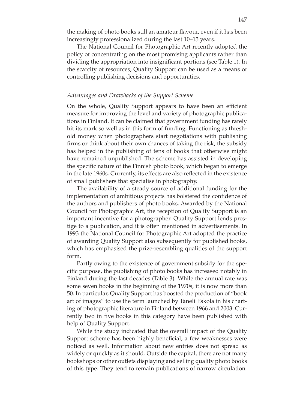the making of photo books still an amateur flavour, even if it has been increasingly professionalized during the last 10–15 years.

The National Council for Photographic Art recently adopted the policy of concentrating on the most promising applicants rather than dividing the appropriation into insignificant portions (see Table 1). In the scarcity of resources, Quality Support can be used as a means of controlling publishing decisions and opportunities.

#### *Advantages and Drawbacks of the Support Scheme*

On the whole, Quality Support appears to have been an efficient measure for improving the level and variety of photographic publications in Finland. It can be claimed that government funding has rarely hit its mark so well as in this form of funding. Functioning as threshold money when photographers start negotiations with publishing firms or think about their own chances of taking the risk, the subsidy has helped in the publishing of tens of books that otherwise might have remained unpublished. The scheme has assisted in developing the specific nature of the Finnish photo book, which began to emerge in the late 1960s. Currently, its effects are also reflected in the existence of small publishers that specialise in photography.

The availability of a steady source of additional funding for the implementation of ambitious projects has bolstered the confidence of the authors and publishers of photo books. Awarded by the National Council for Photographic Art, the reception of Quality Support is an important incentive for a photographer. Quality Support lends prestige to a publication, and it is often mentioned in advertisements. In 1993 the National Council for Photographic Art adopted the practice of awarding Quality Support also subsequently for published books, which has emphasised the prize-resembling qualities of the support form.

Partly owing to the existence of government subsidy for the specific purpose, the publishing of photo books has increased notably in Finland during the last decades (Table 3). While the annual rate was some seven books in the beginning of the 1970s, it is now more than 50. In particular, Quality Support has boosted the production of "book art of images" to use the term launched by Taneli Eskola in his charting of photographic literature in Finland between 1966 and 2003. Currently two in five books in this category have been published with help of Quality Support.

While the study indicated that the overall impact of the Quality Support scheme has been highly beneficial, a few weaknesses were noticed as well. Information about new entries does not spread as widely or quickly as it should. Outside the capital, there are not many bookshops or other outlets displaying and selling quality photo books of this type. They tend to remain publications of narrow circulation.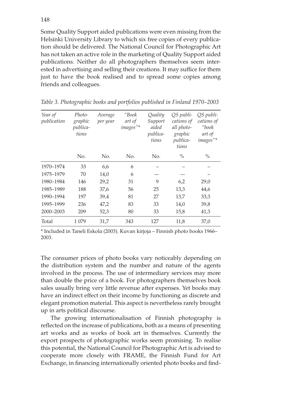Some Quality Support aided publications were even missing from the Helsinki University Library to which six free copies of every publication should be delivered. The National Council for Photographic Art has not taken an active role in the marketing of Quality Support aided publications. Neither do all photographers themselves seem interested in advertising and selling their creations. It may suffice for them just to have the book realised and to spread some copies among friends and colleagues.

| Year of<br>publication | Photo-<br>graphic | Average<br>per year | "Book<br>art of | Quality<br>Support         | OS publi-<br>cations of                    | QS publi-<br>cations of          |
|------------------------|-------------------|---------------------|-----------------|----------------------------|--------------------------------------------|----------------------------------|
|                        | publica-<br>tions |                     | images"*        | aided<br>publica-<br>tions | all photo-<br>graphic<br>publica-<br>tions | $\mu$ book<br>art of<br>images"* |
|                        | No.               | No.                 | No.             | No.                        | $\%$                                       | $\frac{0}{0}$                    |
| 1970-1974              | 33                | 6,6                 | 6               |                            |                                            |                                  |
| 1975-1979              | 70                | 14,0                | 6               |                            |                                            |                                  |
| 1980-1984              | 146               | 29,2                | 31              | 9                          | 6,2                                        | 29,0                             |
| 1985-1989              | 188               | 37,6                | 56              | 25                         | 13,3                                       | 44,6                             |
| 1990-1994              | 197               | 39,4                | 81              | 27                         | 13,7                                       | 33,3                             |
| 1995-1999              | 236               | 47,2                | 83              | 33                         | 14,0                                       | 39,8                             |
| 2000-2003              | 209               | 52,3                | 80              | 33                         | 15,8                                       | 41,3                             |
| Total                  | 1 0 7 9           | 31,7                | 343             | 127                        | 11,8                                       | 37,0                             |

*Table 3. Photographic books and portfolios published in Finland 1970–2003* 

\* Included in Taneli Eskola (2003). Kuvan kirjoja – Finnish photo books 1966– 2003.

The consumer prices of photo books vary noticeably depending on the distribution system and the number and nature of the agents involved in the process. The use of intermediary services may more than double the price of a book. For photographers themselves book sales usually bring very little revenue after expenses. Yet books may have an indirect effect on their income by functioning as discrete and elegant promotion material. This aspect is nevertheless rarely brought up in arts political discourse.

The growing internationalisation of Finnish photography is reflected on the increase of publications, both as a means of presenting art works and as works of book art in themselves. Currently the export prospects of photographic works seem promising. To realise this potential, the National Council for Photographic Art is advised to cooperate more closely with FRAME, the Finnish Fund for Art Exchange, in financing internationally oriented photo books and find